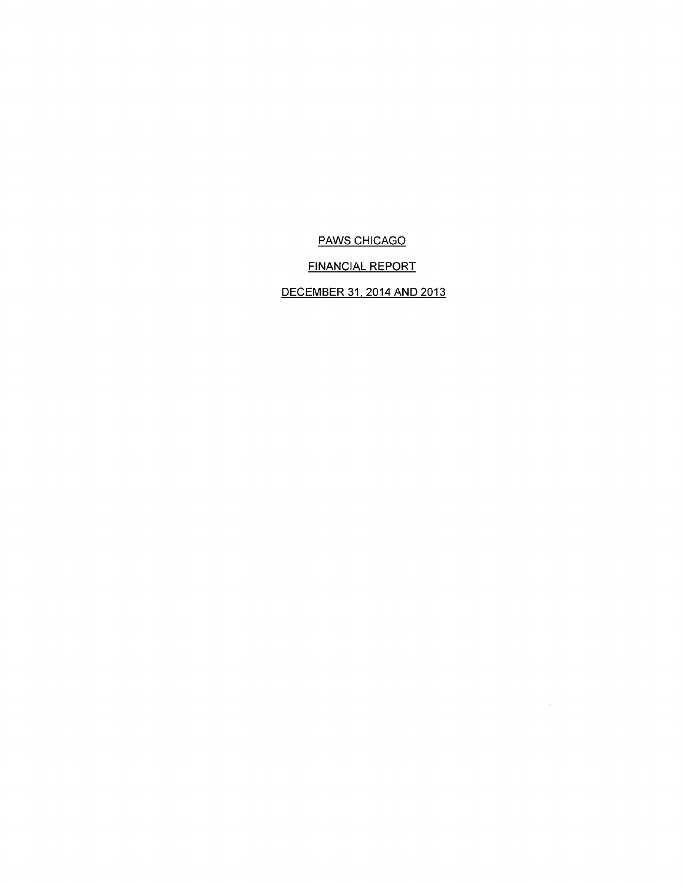# **FINANCIAL REPORT**

# DECEMBER 31, 2014 AND 2013

 $\label{eq:2.1} \mathcal{L}(\mathcal{L}^{\text{c}}_{\text{c}}(\mathcal{L}^{\text{c}}_{\text{c}})) = \mathcal{L}(\mathcal{L}^{\text{c}}_{\text{c}}(\mathcal{L}^{\text{c}}_{\text{c}})) = \mathcal{L}(\mathcal{L}^{\text{c}}_{\text{c}}(\mathcal{L}^{\text{c}}_{\text{c}}))$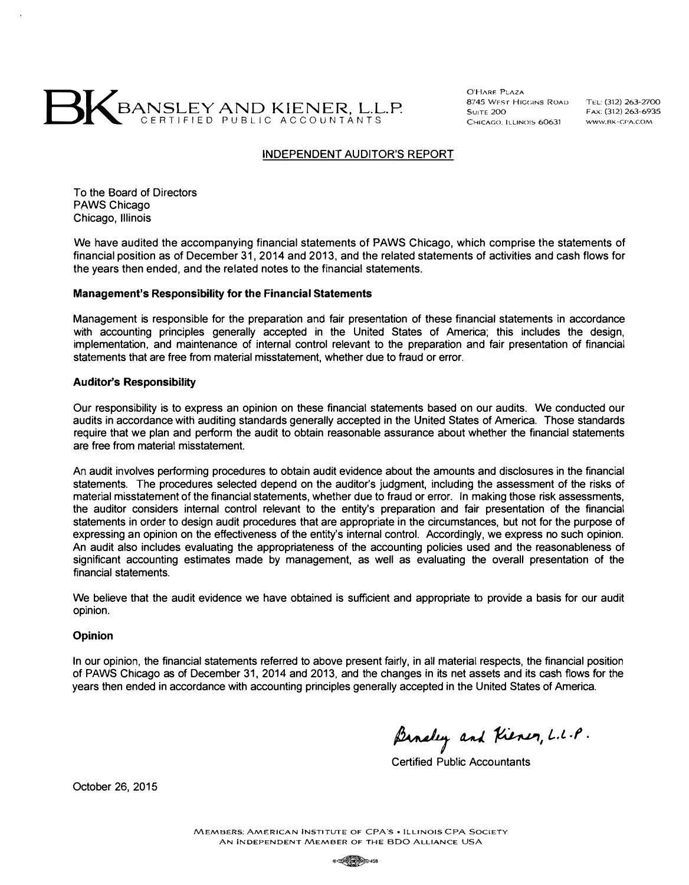

O"HARE PLAZA 8745 WEST HIGGINS ROAD TEL: (312) 263-2700 SUITE 200 FAX: (312) 263-6935<br>CHICAGO, ILLINOIS 60631 WWW.BK-CPA.COM **CHICAGO. ILLINOIS 60631** 

## INDEPENDENT AUDITOR'S REPORT

To the Board of Directors PAWS Chicago Chicago, Illinois

We have audited the accompanying financial statements of PAWS Chicago, which comprise the statements of financial position as of December 31, 2014 and 2013, and the related statements of activities and cash flows for the years then ended, and the related notes to the financial statements.

## Management's Responsibility for the Financial Statements

Management is responsible for the preparation and fair presentation of these financial statements in accordance with accounting principles generally accepted in the United States of America; this includes the design, implementation, and maintenance of internal control relevant to the preparation and fair presentation of financial statements that are free from material misstatement, whether due to fraud or error.

## Auditor's Responsibility

Our responsibility is to express an opinion on these financial statements based on our audits. We conducted our audits in accordance with auditing standards generally accepted in the United States of America. Those standards require that we plan and perform the audit to obtain reasonable assurance about whether the financial statements are free from material misstatement.

An audit involves performing procedures to obtain audit evidence about the amounts and disclosures in the financial statements. The procedures selected depend on the auditor's judgment, including the assessment of the risks of material misstatement of the financial statements, whether due to fraud or error. In making those risk assessments, the auditor considers internal control relevant to the entity's preparation and fair presentation of the financial statements in order to design audit procedures that are appropriate in the circumstances, but not for the purpose of expressing an opinion on the effectiveness of the entity's internal control. Accordingly, we express no such opinion. An audit also includes evaluating the appropriateness of the accounting policies used and the reasonableness of significant accounting estimates made by management, as well as evaluating the overall presentation of the financial statements.

We believe that the audit evidence we have obtained is sufficient and appropriate to provide a basis for our audit opinion.

## Opinion

In our opinion, the financial statements referred to above present fairly, in all material respects, the financial position of PAWS Chicago as of December 31, 2014 and 2013, and the changes in its net assets and its cash flows for the years then ended in accordance with accounting principles generally accepted in the United States of America.

Bineley and Kiener, L.L.P.

Certified Public Accountants

October 26, 2015

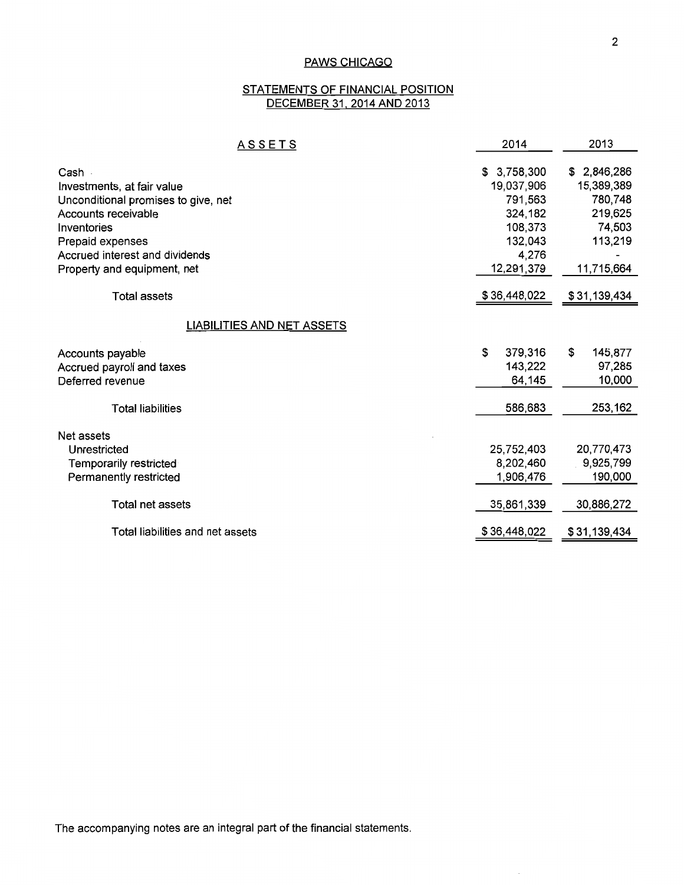## STATEMENTS OF FINANCIAL POSITION DECEMBER 31, 2014 AND 2013

| <b>ASSETS</b>                       | 2014          | 2013            |
|-------------------------------------|---------------|-----------------|
| Cash -                              | \$3,758,300   | 2,846,286<br>\$ |
| Investments, at fair value          | 19,037,906    | 15,389,389      |
| Unconditional promises to give, net | 791,563       | 780,748         |
| Accounts receivable                 | 324,182       | 219,625         |
| Inventories                         | 108,373       | 74,503          |
| Prepaid expenses                    | 132,043       | 113,219         |
| Accrued interest and dividends      | 4,276         |                 |
| Property and equipment, net         | 12,291,379    | 11,715,664      |
| <b>Total assets</b>                 | \$36,448,022  | \$31,139,434    |
| <b>LIABILITIES AND NET ASSETS</b>   |               |                 |
| Accounts payable                    | \$<br>379,316 | \$<br>145,877   |
| Accrued payroll and taxes           | 143,222       | 97,285          |
| Deferred revenue                    | 64,145        | 10,000          |
| <b>Total liabilities</b>            | 586,683       | 253,162         |
| Net assets                          |               |                 |
| Unrestricted                        | 25,752,403    | 20,770,473      |
| Temporarily restricted              | 8,202,460     | 9,925,799       |
| Permanently restricted              | 1,906,476     | 190,000         |
| Total net assets                    | 35,861,339    | 30,886,272      |
| Total liabilities and net assets    | \$36,448,022  | \$31,139,434    |

The accompanying notes are an integral part of the financial statements.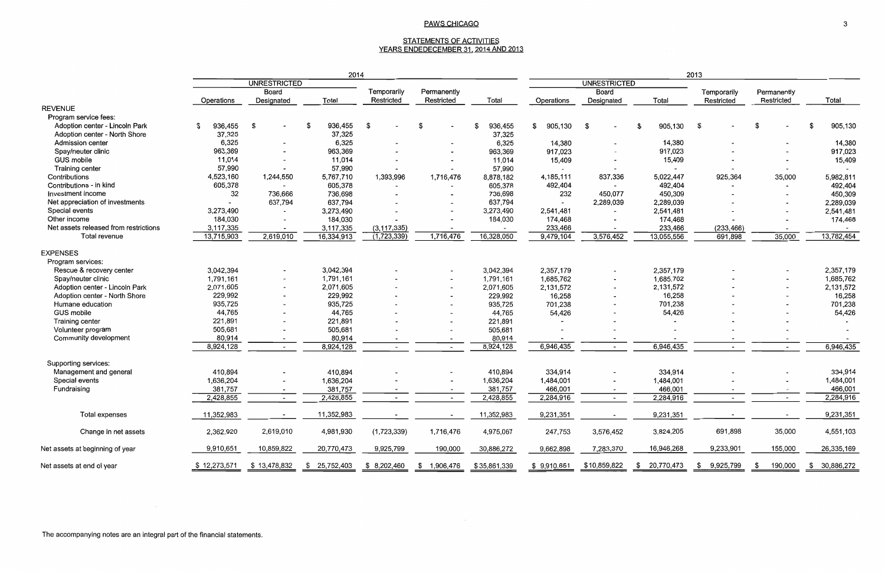# STATEMENTS OF ACTIVITIES<br>YEARS ENDEDECEMBER 31, 2014 AND 2013

|                                       |                     | 2014                     |                | 2013                     |                          |                          |               |                                |                 |             |                          |                   |
|---------------------------------------|---------------------|--------------------------|----------------|--------------------------|--------------------------|--------------------------|---------------|--------------------------------|-----------------|-------------|--------------------------|-------------------|
|                                       | <b>UNRESTRICTED</b> |                          |                |                          | <b>UNRESTRICTED</b>      |                          |               |                                |                 |             |                          |                   |
|                                       | <b>Board</b>        |                          | Temporarily    | Permanently              |                          |                          | Board         |                                | Temporarily     | Permanently |                          |                   |
|                                       | Operations          | Designated               | Total          | Restricted               | Restricted               | Total                    | Operations    | Designated                     | Total           | Restricted  | Restricted               | Total             |
| <b>REVENUE</b>                        |                     |                          |                |                          |                          |                          |               |                                |                 |             |                          |                   |
| Program service fees:                 |                     |                          |                |                          |                          |                          |               |                                |                 |             |                          |                   |
| Adoption center - Lincoln Park        | \$<br>936,455       | - \$                     | 936,455<br>-96 | \$                       | \$.<br>$\blacksquare$    | 936,455                  | \$<br>905,130 | \$<br>$\overline{\phantom{a}}$ | 905,130<br>- \$ | - \$        | \$                       | S<br>905,130      |
| Adoption center - North Shore         | 37,325              |                          | 37,325         |                          |                          | 37,325                   |               |                                |                 |             |                          |                   |
| Admission center                      | 6,325               | ۰                        | 6,325          |                          | $\tilde{\phantom{a}}$    | 6,325                    | 14,380        | $\overline{\phantom{a}}$       | 14,380          |             |                          | 14,380            |
| Spay/neuter clinic                    | 963,369             |                          | 963,369        |                          | $\overline{\phantom{a}}$ | 963,369                  | 917,023       |                                | 917,023         |             |                          | 917,023           |
| GUS mobile                            | 11,014              |                          | 11,014         |                          |                          | 11,014                   | 15,409        | $\overline{\phantom{a}}$       | 15,409          |             |                          | 15,409            |
| Training center                       | 57,990              |                          | 57,990         |                          |                          | 57,990                   |               |                                |                 |             |                          |                   |
| Contributions                         | 4,523,160           | 1,244,550                | 5,767,710      | 1,393,996                | 1,716,476                | 8,878,182                | 4,185,111     | 837,336                        | 5,022,447       | 925,364     | 35,000                   | 5,982,811         |
| Contributions - in kind               | 605,378             |                          | 605,378        |                          | $\sim$                   | 605,378                  | 492,404       |                                | 492,404         |             | $\overline{\phantom{a}}$ | 492,404           |
| Investment income                     | 32                  | 736,666                  | 736,698        |                          |                          | 736,698                  | 232           | 450,077                        | 450,309         |             |                          | 450,309           |
| Net appreciation of investments       |                     | 637,794                  | 637,794        |                          |                          | 637,794                  |               | 2,289,039                      | 2,289,039       |             | $\blacksquare$           | 2,289,039         |
| Special events                        | 3,273,490           |                          | 3,273,490      |                          |                          | 3,273,490                | 2,541,481     |                                | 2,541,481       |             | $\overline{\phantom{a}}$ | 2,541,481         |
| Other income                          | 184,030             |                          | 184,030        |                          |                          | 184,030                  | 174,468       |                                | 174,468         |             |                          | 174,468           |
| Net assets released from restrictions | 3,117,335           |                          | 3,117,335      | (3, 117, 335)            |                          | $\overline{\phantom{a}}$ | 233,466       |                                | 233,466         | (233, 466)  |                          |                   |
| <b>Total revenue</b>                  | 13,715,903          | 2,619,010                | 16,334,913     | (1,723,339)              | 1,716,476                | 16,328,050               | 9,479,104     | 3,576,452                      | 13,055,556      | 691,898     | 35,000                   | 13,782,454        |
|                                       |                     |                          |                |                          |                          |                          |               |                                |                 |             |                          |                   |
| <b>EXPENSES</b>                       |                     |                          |                |                          |                          |                          |               |                                |                 |             |                          |                   |
| Program services:                     |                     |                          |                |                          |                          |                          |               |                                |                 |             |                          |                   |
| Rescue & recovery center              | 3,042,394           |                          | 3,042,394      |                          |                          | 3,042,394                | 2,357,179     | $\overline{\phantom{a}}$       | 2,357,179       |             |                          | 2,357,179         |
| Spay/neuter clinic                    | 1,791,161           |                          | 1,791,161      |                          |                          | 1,791,161                | 1,685,762     | $\blacksquare$                 | 1,685,762       |             |                          | 1,685,762         |
| Adoption center - Lincoln Park        | 2,071,605           | $\overline{\phantom{a}}$ | 2,071,605      |                          |                          | 2,071,605                | 2,131,572     |                                | 2,131,572       |             | $\overline{\phantom{a}}$ |                   |
| Adoption center - North Shore         | 229,992             |                          | 229,992        |                          |                          | 229,992                  | 16,258        | $\overline{\phantom{a}}$       | 16,258          |             | $\overline{\phantom{a}}$ | 2,131,572         |
| Humane education                      | 935,725             |                          | 935,725        |                          |                          | 935,725                  |               | $\overline{\phantom{a}}$       |                 |             |                          | 16,258            |
| GUS mobile                            | 44,765              |                          | 44,765         |                          |                          |                          | 701,238       |                                | 701,238         |             |                          | 701,238           |
| Training center                       | 221,891             |                          | 221,891        |                          |                          | 44,765                   | 54,426        | $\overline{\phantom{a}}$       | 54,426          |             |                          | 54,426            |
| Volunteer program                     | 505,681             |                          |                |                          |                          | 221,891                  |               |                                |                 |             |                          |                   |
| Community development                 | 80,914              |                          | 505,681        |                          |                          | 505,681                  |               |                                |                 |             |                          |                   |
|                                       |                     |                          | 80,914         | $\overline{\phantom{a}}$ |                          | 80,914                   |               |                                |                 |             | $\overline{\phantom{a}}$ |                   |
|                                       | 8,924,128           |                          | 8,924,128      |                          |                          | 8,924,128                | 6,946,435     |                                | 6,946,435       |             |                          | 6,946,435         |
| Supporting services:                  |                     |                          |                |                          |                          |                          |               |                                |                 |             |                          |                   |
| Management and general                | 410,894             |                          | 410,894        |                          |                          |                          |               |                                |                 |             |                          |                   |
| Special events                        | 1,636,204           |                          |                |                          |                          | 410,894                  | 334,914       | $\overline{\phantom{a}}$       | 334,914         |             |                          | 334,914           |
| Fundraising                           |                     |                          | 1,636,204      |                          |                          | 1,636,204                | 1,484,001     | $\overline{\phantom{a}}$       | 1,484,001       |             |                          | 1,484,001         |
|                                       | 381,757             |                          | 381,757        |                          |                          | 381,757                  | 466,001       |                                | 466,001         |             |                          | 466,001           |
|                                       | 2,428,855           | $\overline{\phantom{0}}$ | 2,428,855      | $\overline{\phantom{0}}$ |                          | 2,428,855                | 2,284,916     | $\sim$                         | 2,284,916       |             | $\sim$                   | 2,284,916         |
| Total expenses                        | 11,352,983          |                          |                |                          |                          |                          |               |                                |                 |             |                          |                   |
|                                       |                     | $\sim$                   | 11,352,983     |                          |                          | 11,352,983               | 9,231,351     |                                | 9,231,351       |             | $\overline{\phantom{a}}$ | 9,231,351         |
| Change in net assets                  | 2,362,920           | 2,619,010                | 4,981,930      | (1,723,339)              | 1,716,476                | 4,975,067                | 247,753       | 3,576,452                      | 3,824,205       | 691,898     | 35,000                   | 4,551,103         |
|                                       |                     |                          |                |                          |                          |                          |               |                                |                 |             |                          |                   |
| Net assets at beginning of year       | 9,910,651           | 10,859,822               | 20,770,473     | 9,925,799                | 190,000                  | 30,886,272               | 9,662,898     | 7,283,370                      | 16,946,268      | 9,233,901   | 155,000                  | 26,335,169        |
| Net assets at end of year             | \$12,273,571        | \$13,478,832             | \$25,752,403   | \$8,202,460              | \$1,906,476              | \$35,861,339             | \$9,910,651   | \$10,859,822                   | \$ 20,770,473   | \$9,925,799 | 190,000<br>\$            | 30,886,272<br>SS. |

 $\sim 10^{-1}$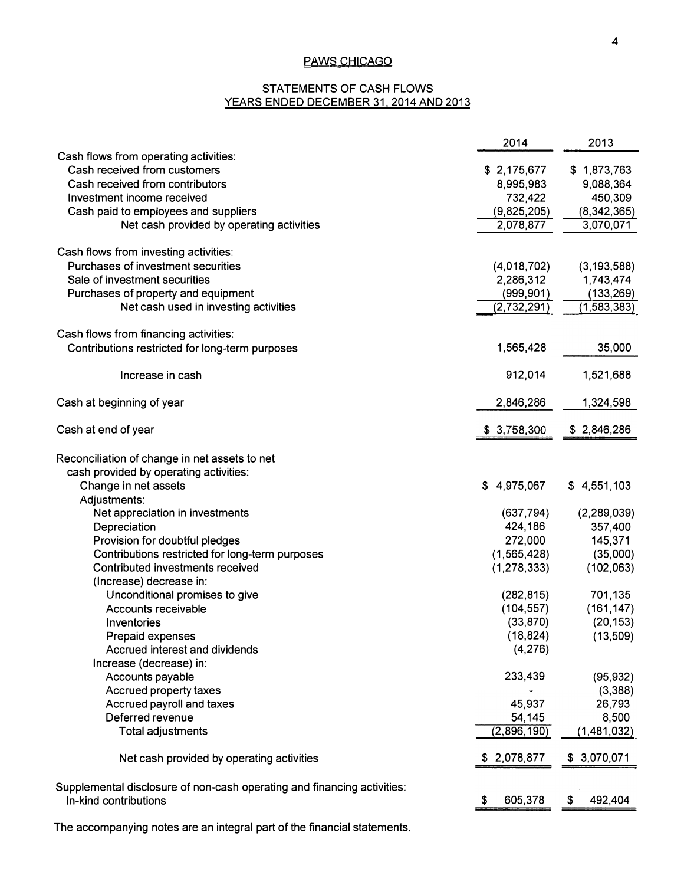## STATEMENTS OF CASH FLOWS YEARS ENDED DECEMBER 31, 2014 AND 2013

|                                                                         | 2014          | 2013          |
|-------------------------------------------------------------------------|---------------|---------------|
| Cash flows from operating activities:                                   |               |               |
| Cash received from customers                                            | \$2,175,677   | \$1,873,763   |
| Cash received from contributors                                         | 8,995,983     | 9,088,364     |
| Investment income received                                              | 732,422       | 450,309       |
| Cash paid to employees and suppliers                                    | (9,825,205)   | (8,342,365)   |
| Net cash provided by operating activities                               | 2,078,877     | 3,070,071     |
|                                                                         |               |               |
| Cash flows from investing activities:                                   |               |               |
| Purchases of investment securities                                      | (4,018,702)   | (3, 193, 588) |
| Sale of investment securities                                           | 2,286,312     | 1,743,474     |
| Purchases of property and equipment                                     | (999, 901)    | (133, 269)    |
| Net cash used in investing activities                                   | (2,732,291)   | (1, 583, 383) |
| Cash flows from financing activities:                                   |               |               |
| Contributions restricted for long-term purposes                         | 1,565,428     | 35,000        |
| Increase in cash                                                        | 912,014       | 1,521,688     |
| Cash at beginning of year                                               | 2,846,286     | 1,324,598     |
| Cash at end of year                                                     | \$3,758,300   | \$2,846,286   |
| Reconciliation of change in net assets to net                           |               |               |
| cash provided by operating activities:                                  |               |               |
| Change in net assets                                                    | \$4,975,067   | \$4,551,103   |
| Adjustments:                                                            |               |               |
| Net appreciation in investments                                         | (637, 794)    | (2, 289, 039) |
| Depreciation                                                            | 424,186       | 357,400       |
| Provision for doubtful pledges                                          | 272,000       | 145,371       |
| Contributions restricted for long-term purposes                         | (1, 565, 428) | (35,000)      |
| Contributed investments received                                        | (1, 278, 333) | (102,063)     |
| (Increase) decrease in:                                                 |               |               |
| Unconditional promises to give                                          | (282, 815)    | 701,135       |
| Accounts receivable                                                     | (104, 557)    | (161, 147)    |
| Inventories                                                             | (33, 870)     | (20, 153)     |
| Prepaid expenses                                                        | (18, 824)     | (13, 509)     |
| Accrued interest and dividends                                          | (4, 276)      |               |
| Increase (decrease) in:                                                 |               |               |
| Accounts payable                                                        | 233,439       | (95, 932)     |
| Accrued property taxes                                                  |               | (3,388)       |
| Accrued payroll and taxes                                               | 45,937        | 26,793        |
| Deferred revenue                                                        | 54,145        | 8,500         |
| <b>Total adjustments</b>                                                | (2,896,190)   | (1,481,032)   |
|                                                                         |               |               |
| Net cash provided by operating activities                               | \$ 2,078,877  | \$ 3,070,071  |
| Supplemental disclosure of non-cash operating and financing activities: |               |               |
| In-kind contributions                                                   | 605,378<br>\$ | 492,404<br>\$ |
|                                                                         |               |               |

The accompanying notes are an integral part of the financial statements.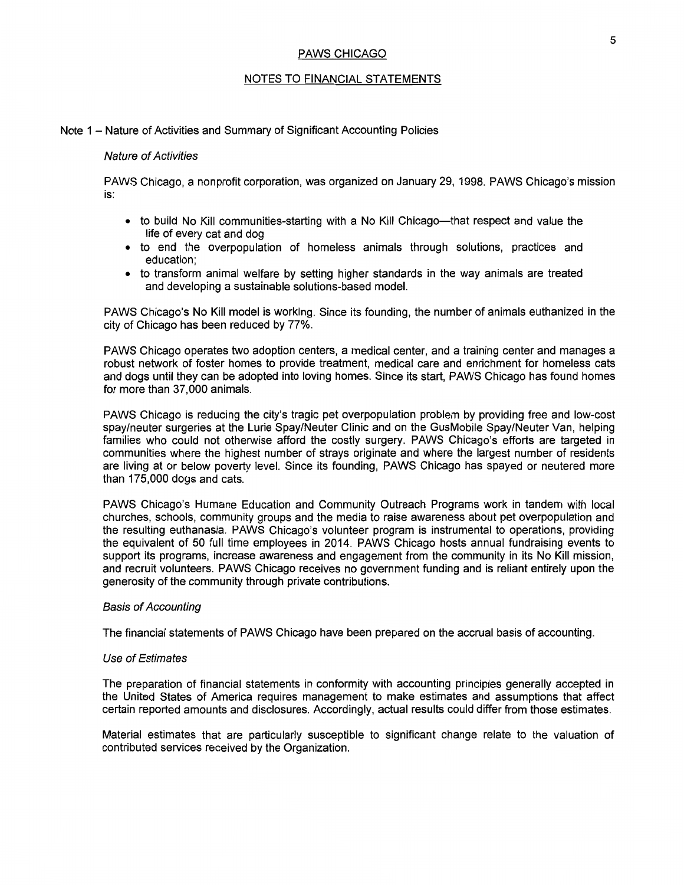## NOTES TO FINANCIAL STATEMENTS

### Note 1 – Nature of Activities and Summary of Significant Accounting Policies

## **Nature of Activities**

PAWS Chicago, a nonprofit corporation, was organized on January 29, 1998. PAWS Chicago's mission is.

- to build No Kill communities-starting with a No Kill Chicago—that respect and value the life of every cat and dog
- to end the overpopulation of homeless animals through solutions, practices and education:
- to transform animal welfare by setting higher standards in the way animals are treated and developing a sustainable solutions-based model.

PAWS Chicago's No Kill model is working. Since its founding, the number of animals euthanized in the city of Chicago has been reduced by 77%.

PAWS Chicago operates two adoption centers, a medical center, and a training center and manages a robust network of foster homes to provide treatment, medical care and enrichment for homeless cats and dogs until they can be adopted into loving homes. Since its start, PAWS Chicago has found homes for more than 37,000 animals.

PAWS Chicago is reducing the city's tragic pet overpopulation problem by providing free and low-cost spay/neuter surgeries at the Lurie Spay/Neuter Clinic and on the GusMobile Spay/Neuter Van, helping families who could not otherwise afford the costly surgery. PAWS Chicago's efforts are targeted in communities where the highest number of strays originate and where the largest number of residents are living at or below poverty level. Since its founding, PAWS Chicago has spayed or neutered more than 175,000 dogs and cats.

PAWS Chicago's Humane Education and Community Outreach Programs work in tandem with local churches, schools, community groups and the media to raise awareness about pet overpopulation and the resulting euthanasia. PAWS Chicago's volunteer program is instrumental to operations, providing the equivalent of 50 full time employees in 2014. PAWS Chicago hosts annual fundraising events to support its programs, increase awareness and engagement from the community in its No Kill mission. and recruit volunteers. PAWS Chicago receives no government funding and is reliant entirely upon the generosity of the community through private contributions.

## **Basis of Accounting**

The financial statements of PAWS Chicago have been prepared on the accrual basis of accounting.

## Use of Estimates

The preparation of financial statements in conformity with accounting principles generally accepted in the United States of America requires management to make estimates and assumptions that affect certain reported amounts and disclosures. Accordingly, actual results could differ from those estimates.

Material estimates that are particularly susceptible to significant change relate to the valuation of contributed services received by the Organization.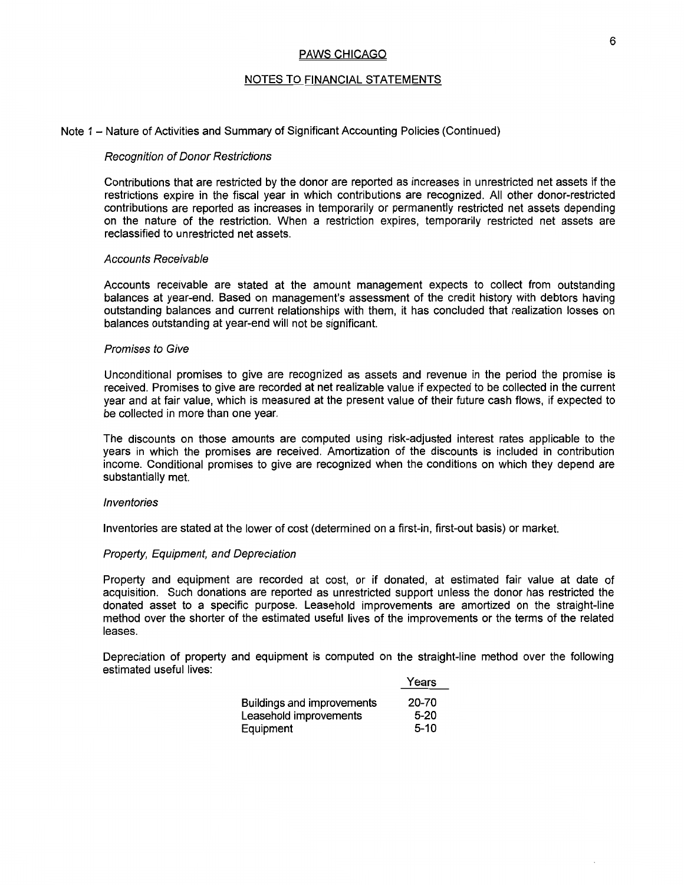## NOTES TO FINANCIAL STATEMENTS

#### Note 1 – Nature of Activities and Summary of Significant Accounting Policies (Continued)

#### **Recognition of Donor Restrictions**

Contributions that are restricted by the donor are reported as increases in unrestricted net assets if the restrictions expire in the fiscal year in which contributions are recognized. All other donor-restricted contributions are reported as increases in temporarily or permanently restricted net assets depending on the nature of the restriction. When a restriction expires, temporarily restricted net assets are reclassified to unrestricted net assets.

## **Accounts Receivable**

Accounts receivable are stated at the amount management expects to collect from outstanding balances at year-end. Based on management's assessment of the credit history with debtors having outstanding balances and current relationships with them, it has concluded that realization losses on balances outstanding at year-end will not be significant.

#### **Promises to Give**

Unconditional promises to give are recognized as assets and revenue in the period the promise is received. Promises to give are recorded at net realizable value if expected to be collected in the current year and at fair value, which is measured at the present value of their future cash flows, if expected to be collected in more than one year.

The discounts on those amounts are computed using risk-adjusted interest rates applicable to the years in which the promises are received. Amortization of the discounts is included in contribution income. Conditional promises to give are recognized when the conditions on which they depend are substantially met.

#### **Inventories**

Inventories are stated at the lower of cost (determined on a first-in, first-out basis) or market.

## Property, Equipment, and Depreciation

Property and equipment are recorded at cost, or if donated, at estimated fair value at date of acquisition. Such donations are reported as unrestricted support unless the donor has restricted the donated asset to a specific purpose. Leasehold improvements are amortized on the straight-line method over the shorter of the estimated useful lives of the improvements or the terms of the related leases.

Depreciation of property and equipment is computed on the straight-line method over the following estimated useful lives:  $\sim$ 

|                                                                          | <b>Years</b>                  |
|--------------------------------------------------------------------------|-------------------------------|
| <b>Buildings and improvements</b><br>Leasehold improvements<br>Equipment | 20-70<br>$5 - 20$<br>$5 - 10$ |
|                                                                          |                               |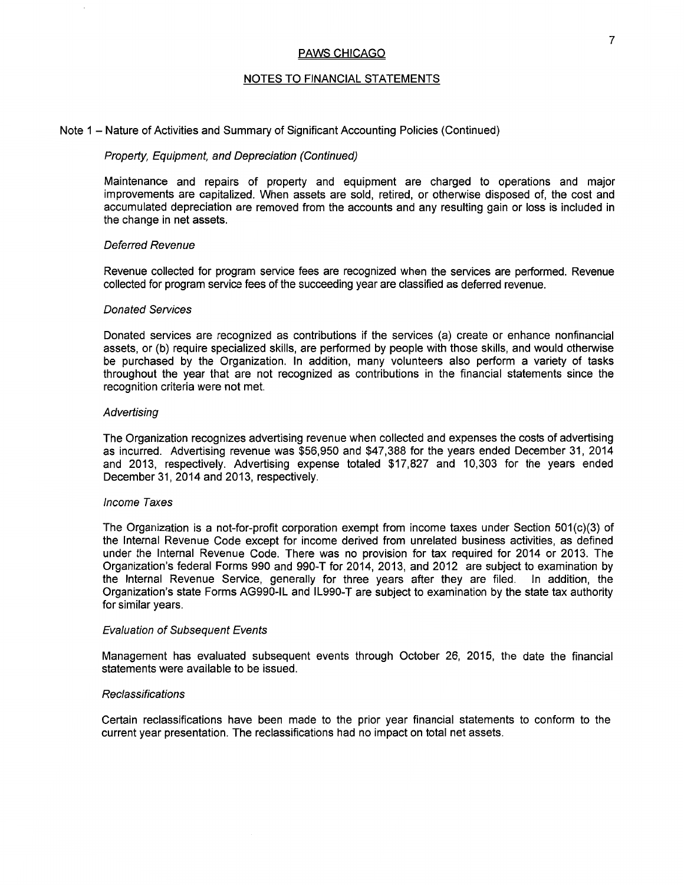### NOTES TO FINANCIAL STATEMENTS

## Note 1 – Nature of Activities and Summary of Significant Accounting Policies (Continued)

## Property, Equipment, and Depreciation (Continued)

Maintenance and repairs of property and equipment are charged to operations and major improvements are capitalized. When assets are sold, retired, or otherwise disposed of, the cost and accumulated depreciation are removed from the accounts and any resulting gain or loss is included in the change in net assets.

#### **Deferred Revenue**

Revenue collected for program service fees are recognized when the services are performed. Revenue collected for program service fees of the succeeding year are classified as deferred revenue.

#### **Donated Services**

Donated services are recognized as contributions if the services (a) create or enhance nonfinancial assets, or (b) require specialized skills, are performed by people with those skills, and would otherwise be purchased by the Organization. In addition, many volunteers also perform a variety of tasks throughout the year that are not recognized as contributions in the financial statements since the recognition criteria were not met.

## Advertising

The Organization recognizes advertising revenue when collected and expenses the costs of advertising as incurred. Advertising revenue was \$56,950 and \$47,388 for the years ended December 31, 2014 and 2013, respectively. Advertising expense totaled \$17,827 and 10,303 for the years ended December 31, 2014 and 2013, respectively.

#### **Income Taxes**

The Organization is a not-for-profit corporation exempt from income taxes under Section  $501(c)(3)$  of the Internal Revenue Code except for income derived from unrelated business activities, as defined under the Internal Revenue Code. There was no provision for tax required for 2014 or 2013. The Organization's federal Forms 990 and 990-T for 2014, 2013, and 2012 are subject to examination by the Internal Revenue Service, generally for three years after they are filed. In addition, the Organization's state Forms AG990-IL and IL990-T are subject to examination by the state tax authority for similar years.

#### **Evaluation of Subsequent Events**

Management has evaluated subsequent events through October 26, 2015, the date the financial statements were available to be issued.

## **Reclassifications**

Certain reclassifications have been made to the prior year financial statements to conform to the current year presentation. The reclassifications had no impact on total net assets.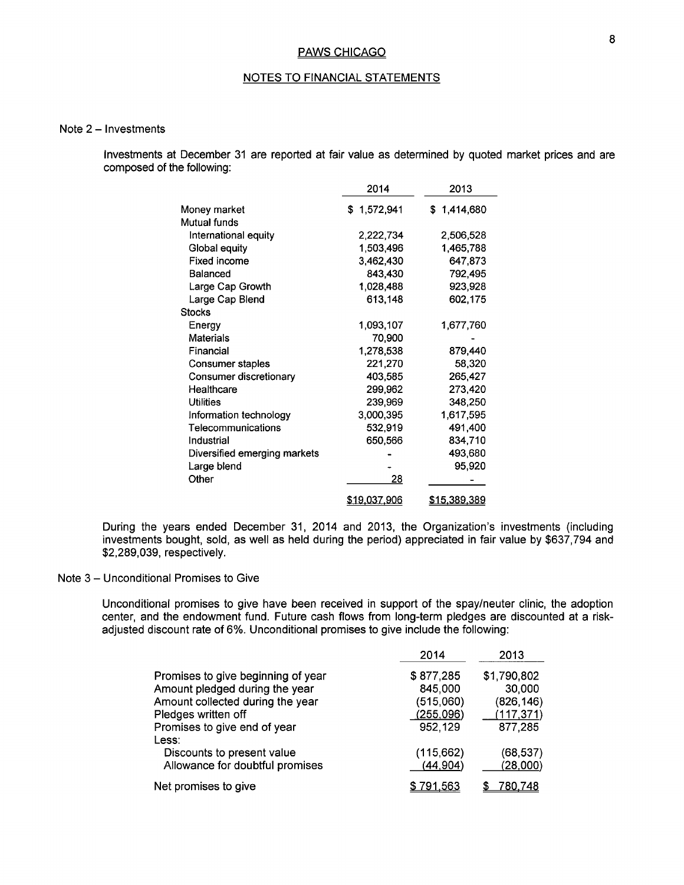## NOTES TO FINANCIAL STATEMENTS

## Note  $2$  – Investments

Investments at December 31 are reported at fair value as determined by quoted market prices and are composed of the following:

|                              | 2014         | 2013                |
|------------------------------|--------------|---------------------|
| Money market                 | \$1,572,941  | \$1,414,680         |
| Mutual funds                 |              |                     |
| International equity         | 2,222,734    | 2,506,528           |
| Global equity                | 1,503,496    | 1,465,788           |
| Fixed income                 | 3,462,430    | 647,873             |
| <b>Balanced</b>              | 843,430      | 792,495             |
| Large Cap Growth             | 1,028,488    | 923,928             |
| Large Cap Blend              | 613,148      | 602,175             |
| <b>Stocks</b>                |              |                     |
| Energy                       | 1,093,107    | 1,677,760           |
| <b>Materials</b>             | 70,900       |                     |
| Financial                    | 1,278,538    | 879,440             |
| Consumer staples             | 221,270      | 58,320              |
| Consumer discretionary       | 403,585      | 265,427             |
| Healthcare                   | 299,962      | 273,420             |
| <b>Utilities</b>             | 239,969      | 348,250             |
| Information technology       | 3,000,395    | 1,617,595           |
| Telecommunications           | 532,919      | 491,400             |
| Industrial                   | 650,566      | 834,710             |
| Diversified emerging markets |              | 493,680             |
| Large blend                  |              | 95,920              |
| Other                        | 28           |                     |
|                              | \$19,037,906 | <u>\$15,389,389</u> |

During the years ended December 31, 2014 and 2013, the Organization's investments (including investments bought, sold, as well as held during the period) appreciated in fair value by \$637,794 and \$2,289,039, respectively.

Note 3 - Unconditional Promises to Give

Unconditional promises to give have been received in support of the spay/neuter clinic, the adoption center, and the endowment fund. Future cash flows from long-term pledges are discounted at a riskadjusted discount rate of 6%. Unconditional promises to give include the following:

|                                    | 2014       | 2013        |
|------------------------------------|------------|-------------|
| Promises to give beginning of year | \$877,285  | \$1,790,802 |
| Amount pledged during the year     | 845,000    | 30,000      |
| Amount collected during the year   | (515,060)  | (826, 146)  |
| Pledges written off                | (255,096)  | (117, 371)  |
| Promises to give end of year       | 952,129    | 877,285     |
| Less:                              |            |             |
| Discounts to present value         | (115, 662) | (68,537)    |
| Allowance for doubtful promises    | (44, 904)  | (28,000)    |
| Net promises to give               | \$ 791.563 | 780.748     |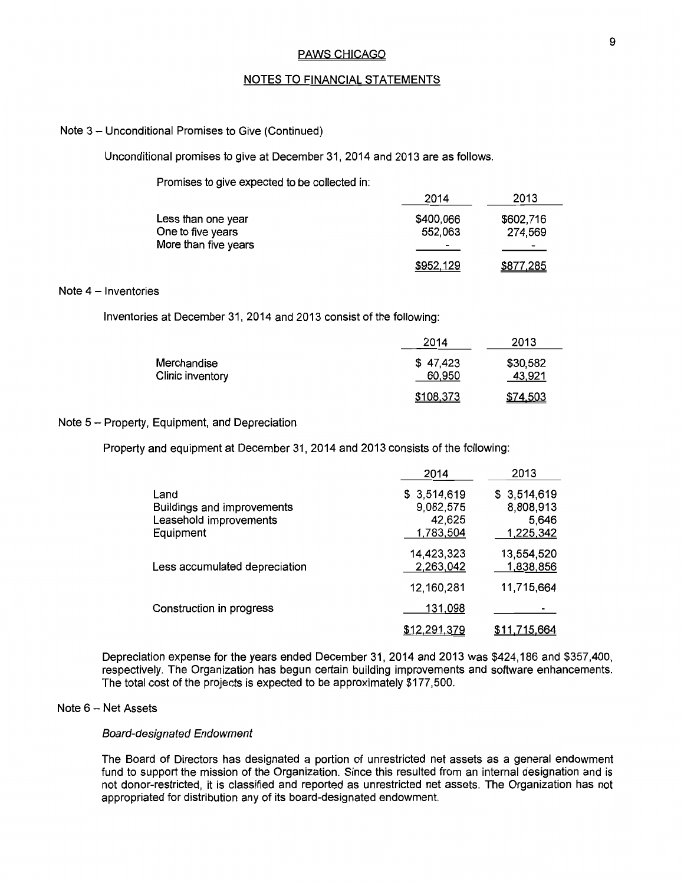## NOTES TO FINANCIAL STATEMENTS

## Note 3 - Unconditional Promises to Give (Continued)

Unconditional promises to give at December 31, 2014 and 2013 are as follows.

Promises to give expected to be collected in:

|                                                                 | 2014      | 2013      |
|-----------------------------------------------------------------|-----------|-----------|
| Less than one year<br>One to five years<br>More than five years | \$400,066 | \$602,716 |
|                                                                 | 552,063   | 274,569   |
|                                                                 |           |           |
|                                                                 | \$952,129 | \$877,285 |

## Note 4 - Inventories

Inventories at December 31, 2014 and 2013 consist of the following:

|                                 | 2014               | 2013               |
|---------------------------------|--------------------|--------------------|
| Merchandise<br>Clinic inventory | \$47,423<br>60,950 | \$30,582<br>43,921 |
|                                 | \$108,373          | \$74,503           |

## Note 5 - Property, Equipment, and Depreciation

Property and equipment at December 31, 2014 and 2013 consists of the following:

|                                                                           | 2014                                            | 2013                                           |
|---------------------------------------------------------------------------|-------------------------------------------------|------------------------------------------------|
| Land<br>Buildings and improvements<br>Leasehold improvements<br>Equipment | \$3,514,619<br>9,082,575<br>42,625<br>1,783,504 | \$3,514,619<br>8,808,913<br>5,646<br>1,225,342 |
| Less accumulated depreciation                                             | 14,423,323<br>2,263,042                         | 13,554,520<br>1,838,856                        |
|                                                                           | 12,160,281                                      | 11,715,664                                     |
| Construction in progress                                                  | 131,098                                         |                                                |
|                                                                           | <u>\$12,291,379</u>                             | \$11,715,664                                   |

Depreciation expense for the years ended December 31, 2014 and 2013 was \$424,186 and \$357,400, respectively. The Organization has begun certain building improvements and software enhancements. The total cost of the projects is expected to be approximately \$177,500.

## Note 6 - Net Assets

## **Board-designated Endowment**

The Board of Directors has designated a portion of unrestricted net assets as a general endowment fund to support the mission of the Organization. Since this resulted from an internal designation and is not donor-restricted, it is classified and reported as unrestricted net assets. The Organization has not appropriated for distribution any of its board-designated endowment.

 $\sim$   $\sim$   $\sim$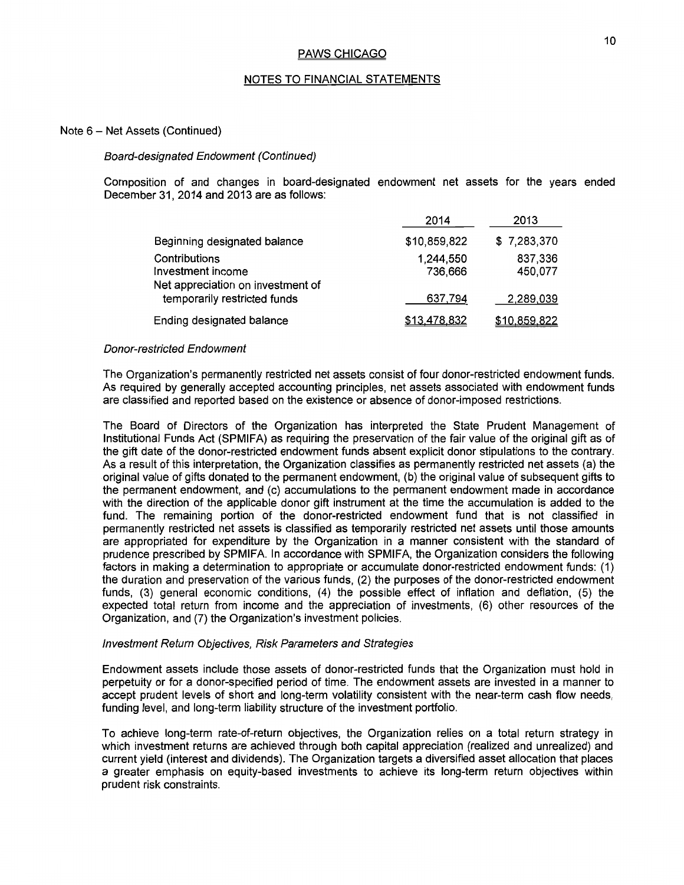## NOTES TO FINANCIAL STATEMENTS

## Note 6 - Net Assets (Continued)

## **Board-designated Endowment (Continued)**

Composition of and changes in board-designated endowment net assets for the years ended December 31, 2014 and 2013 are as follows:

|                                    | 2014                 | 2013               |
|------------------------------------|----------------------|--------------------|
| Beginning designated balance       | \$10,859,822         | \$7,283,370        |
| Contributions<br>Investment income | 1,244,550<br>736,666 | 837,336<br>450,077 |
| Net appreciation on investment of  |                      |                    |
| temporarily restricted funds       | 637,794              | 2,289,039          |
| Ending designated balance          | \$13,478,832         | \$10,859,822       |

### **Donor-restricted Endowment**

The Organization's permanently restricted net assets consist of four donor-restricted endowment funds. As required by generally accepted accounting principles, net assets associated with endowment funds are classified and reported based on the existence or absence of donor-imposed restrictions.

The Board of Directors of the Organization has interpreted the State Prudent Management of Institutional Funds Act (SPMIFA) as requiring the preservation of the fair value of the original gift as of the gift date of the donor-restricted endowment funds absent explicit donor stipulations to the contrary. As a result of this interpretation, the Organization classifies as permanently restricted net assets (a) the original value of gifts donated to the permanent endowment, (b) the original value of subsequent gifts to the permanent endowment, and (c) accumulations to the permanent endowment made in accordance with the direction of the applicable donor gift instrument at the time the accumulation is added to the fund. The remaining portion of the donor-restricted endowment fund that is not classified in permanently restricted net assets is classified as temporarily restricted net assets until those amounts are appropriated for expenditure by the Organization in a manner consistent with the standard of prudence prescribed by SPMIFA. In accordance with SPMIFA, the Organization considers the following factors in making a determination to appropriate or accumulate donor-restricted endowment funds: (1) the duration and preservation of the various funds, (2) the purposes of the donor-restricted endowment funds, (3) general economic conditions, (4) the possible effect of inflation and deflation, (5) the expected total return from income and the appreciation of investments, (6) other resources of the Organization, and (7) the Organization's investment policies.

#### Investment Return Objectives, Risk Parameters and Strategies

Endowment assets include those assets of donor-restricted funds that the Organization must hold in perpetuity or for a donor-specified period of time. The endowment assets are invested in a manner to accept prudent levels of short and long-term volatility consistent with the near-term cash flow needs. funding level, and long-term liability structure of the investment portfolio.

To achieve long-term rate-of-return objectives, the Organization relies on a total return strategy in which investment returns are achieved through both capital appreciation (realized and unrealized) and current vield (interest and dividends). The Organization targets a diversified asset allocation that places a greater emphasis on equity-based investments to achieve its long-term return objectives within prudent risk constraints.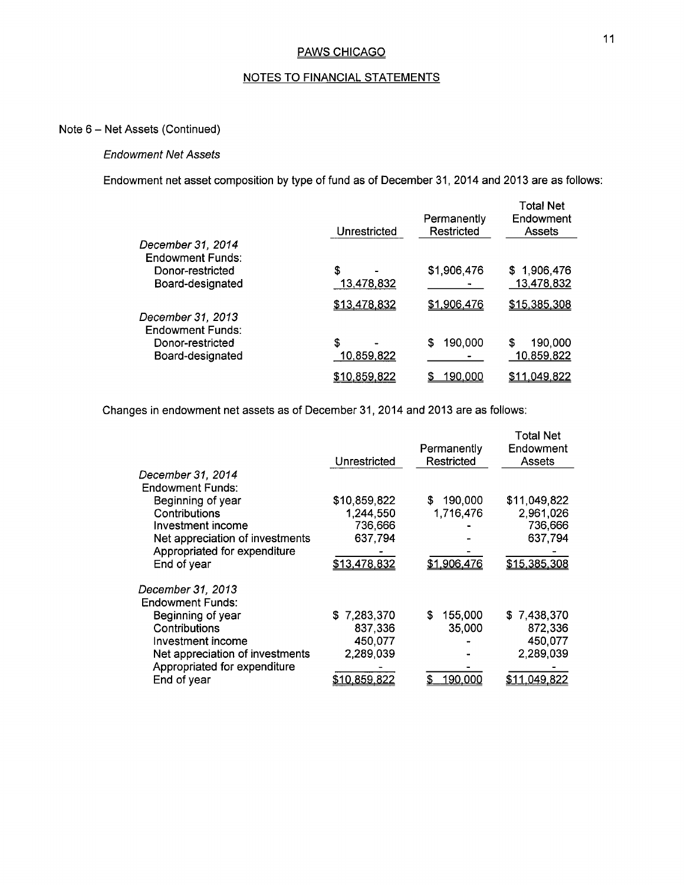## NOTES TO FINANCIAL STATEMENTS

## Note 6 - Net Assets (Continued)

## **Endowment Net Assets**

Endowment net asset composition by type of fund as of December 31, 2014 and 2013 are as follows:

|                         | Unrestricted | Permanently<br>Restricted | Total Net<br>Endowment<br>Assets |
|-------------------------|--------------|---------------------------|----------------------------------|
| December 31, 2014       |              |                           |                                  |
| <b>Endowment Funds:</b> |              |                           |                                  |
| Donor-restricted        | \$           | \$1,906,476               | \$1,906,476                      |
| Board-designated        | 13,478,832   |                           | 13,478,832                       |
|                         | \$13,478,832 | \$1,906,476               | \$15,385,308                     |
| December 31, 2013       |              |                           |                                  |
| Endowment Funds:        |              |                           |                                  |
| Donor-restricted        | \$           | S<br>190,000              | 190,000<br>\$                    |
| Board-designated        | 10,859,822   |                           | 10,859,822                       |
|                         | \$10,859,822 | 90.000                    | \$11,049,822                     |
|                         |              |                           |                                  |

Changes in endowment net assets as of December 31, 2014 and 2013 are as follows:

|                                 | Unrestricted    | Permanently<br>Restricted | Total Net<br>Endowment<br>Assets |
|---------------------------------|-----------------|---------------------------|----------------------------------|
| December 31, 2014               |                 |                           |                                  |
| <b>Endowment Funds:</b>         |                 |                           |                                  |
| Beginning of year               | \$10,859,822    | 190,000<br>S              | \$11,049,822                     |
| Contributions                   | 1,244,550       | 1,716,476                 | 2,961,026                        |
| Investment income               | 736,666         |                           | 736,666                          |
| Net appreciation of investments | 637,794         |                           | 637,794                          |
| Appropriated for expenditure    |                 |                           |                                  |
| End of year                     | \$13,478,832    | \$1,906.476               | \$15,385,308                     |
| December 31, 2013               |                 |                           |                                  |
| <b>Endowment Funds:</b>         |                 |                           |                                  |
| Beginning of year               | 7,283,370<br>S. | 155,000<br>S.             | \$7,438,370                      |
| Contributions                   | 837,336         | 35,000                    | 872,336                          |
| Investment income               | 450,077         |                           | 450,077                          |
| Net appreciation of investments | 2,289,039       |                           | 2,289,039                        |
| Appropriated for expenditure    |                 |                           |                                  |
| End of year                     | \$10,859,822    | <u> 90,000</u>            | <u>1.049.822</u>                 |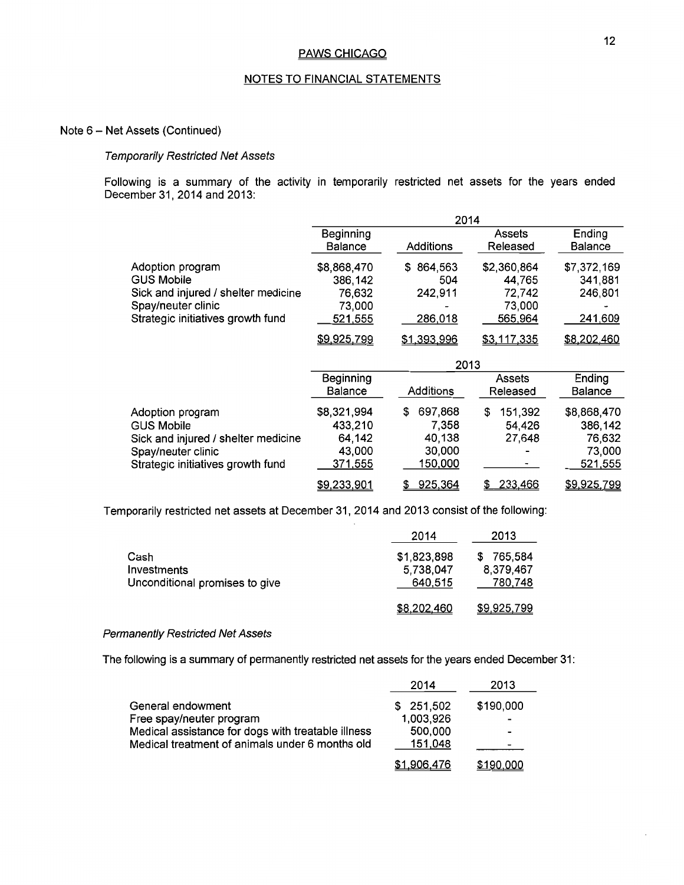## NOTES TO FINANCIAL STATEMENTS

## Note 6 - Net Assets (Continued)

## **Temporarily Restricted Net Assets**

Following is a summary of the activity in temporarily restricted net assets for the years ended December 31, 2014 and 2013:

|                                     | 2014                        |               |                    |                          |
|-------------------------------------|-----------------------------|---------------|--------------------|--------------------------|
|                                     | Beginning<br><b>Balance</b> | Additions     | Assets<br>Released | Ending<br><b>Balance</b> |
| Adoption program                    | \$8,868,470                 | 864,563<br>S. | \$2,360,864        | \$7,372,169              |
| <b>GUS Mobile</b>                   | 386,142                     | 504           | 44,765             | 341,881                  |
| Sick and injured / shelter medicine | 76,632                      | 242,911       | 72,742             | 246,801                  |
| Spay/neuter clinic                  | 73,000                      |               | 73,000             |                          |
| Strategic initiatives growth fund   | 521,555                     | 286,018       | 565,964            | 241,609                  |
|                                     | \$9,925,799                 | \$1,393,996   | \$3,117,335        | \$8,202,460              |
|                                     | 2013                        |               |                    |                          |
|                                     | Beginning                   |               | Assets             | Ending                   |
|                                     | <b>Balance</b>              | Additions     | Released           | Balance                  |
| Adoption program                    | \$8,321,994                 | \$<br>697,868 | \$<br>151,392      | \$8,868,470              |
| <b>GUS Mobile</b>                   | 433,210                     | 7,358         | 54,426             | 386,142                  |
| Sick and injured / shelter medicine | 64,142                      | 40,138        | 27,648             | 76,632                   |
| Spay/neuter clinic                  | 43,000                      | 30,000        |                    | 73,000                   |
| Strategic initiatives growth fund   | 371,555                     | 150,000       |                    | 521,555                  |
|                                     | \$9,233,901                 | 925,364       | 233,466<br>\$      | \$9,925,799              |

Temporarily restricted net assets at December 31, 2014 and 2013 consist of the following:

|                                | 2014        | 2013        |
|--------------------------------|-------------|-------------|
| Cash                           | \$1,823,898 | 765,584     |
| Investments                    | 5,738,047   | 8,379,467   |
| Unconditional promises to give | 640,515     | 780,748     |
|                                | \$8,202,460 | \$9,925,799 |

## **Permanently Restricted Net Assets**

The following is a summary of permanently restricted net assets for the years ended December 31:

|                                                    | 2014        | 2013      |
|----------------------------------------------------|-------------|-----------|
| General endowment                                  | \$251,502   | \$190,000 |
| Free spay/neuter program                           | 1,003,926   |           |
| Medical assistance for dogs with treatable illness | 500,000     |           |
| Medical treatment of animals under 6 months old    | 151,048     |           |
|                                                    | \$1,906,476 | \$190,000 |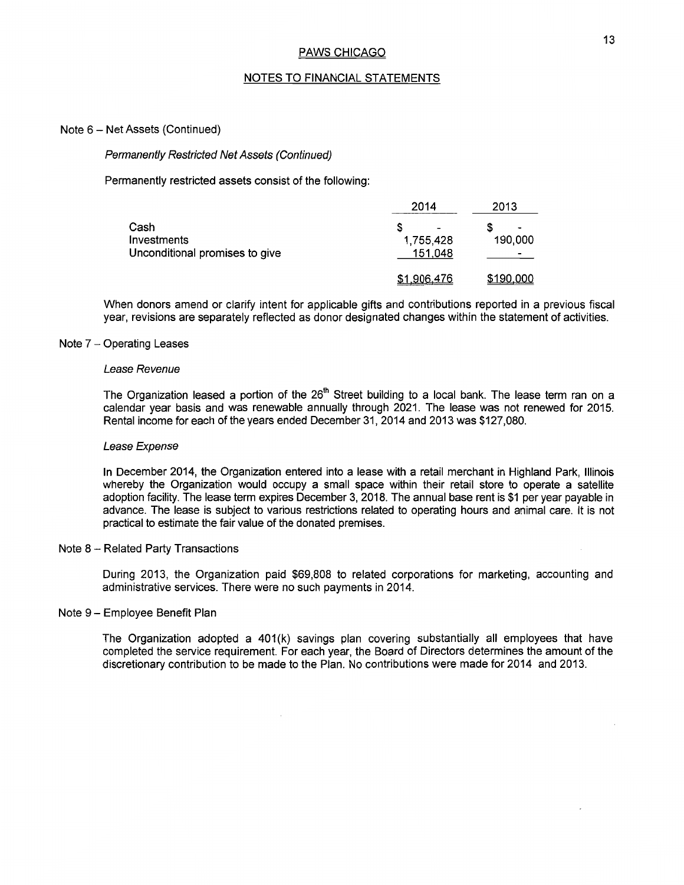## NOTES TO FINANCIAL STATEMENTS

## Note 6 - Net Assets (Continued)

## **Permanently Restricted Net Assets (Continued)**

## Permanently restricted assets consist of the following:

|                                               | 2014                 | 2013                                |  |
|-----------------------------------------------|----------------------|-------------------------------------|--|
| Cash                                          |                      | $\blacksquare$                      |  |
| Investments<br>Unconditional promises to give | 1,755,428<br>151,048 | 190,000<br>$\overline{\phantom{0}}$ |  |
|                                               | \$1.906.476          | \$190,000                           |  |

When donors amend or clarify intent for applicable gifts and contributions reported in a previous fiscal year, revisions are separately reflected as donor designated changes within the statement of activities.

## Note 7 - Operating Leases

## Lease Revenue

The Organization leased a portion of the 26<sup>th</sup> Street building to a local bank. The lease term ran on a calendar year basis and was renewable annually through 2021. The lease was not renewed for 2015. Rental income for each of the years ended December 31, 2014 and 2013 was \$127,080.

#### Lease Expense

In December 2014, the Organization entered into a lease with a retail merchant in Highland Park. Illinois whereby the Organization would occupy a small space within their retail store to operate a satellite adoption facility. The lease term expires December 3, 2018. The annual base rent is \$1 per year payable in advance. The lease is subject to various restrictions related to operating hours and animal care. It is not practical to estimate the fair value of the donated premises.

## Note 8 - Related Party Transactions

During 2013, the Organization paid \$69,808 to related corporations for marketing, accounting and administrative services. There were no such payments in 2014.

## Note 9 - Employee Benefit Plan

The Organization adopted a  $401(k)$  savings plan covering substantially all employees that have completed the service requirement. For each year, the Board of Directors determines the amount of the discretionary contribution to be made to the Plan. No contributions were made for 2014 and 2013.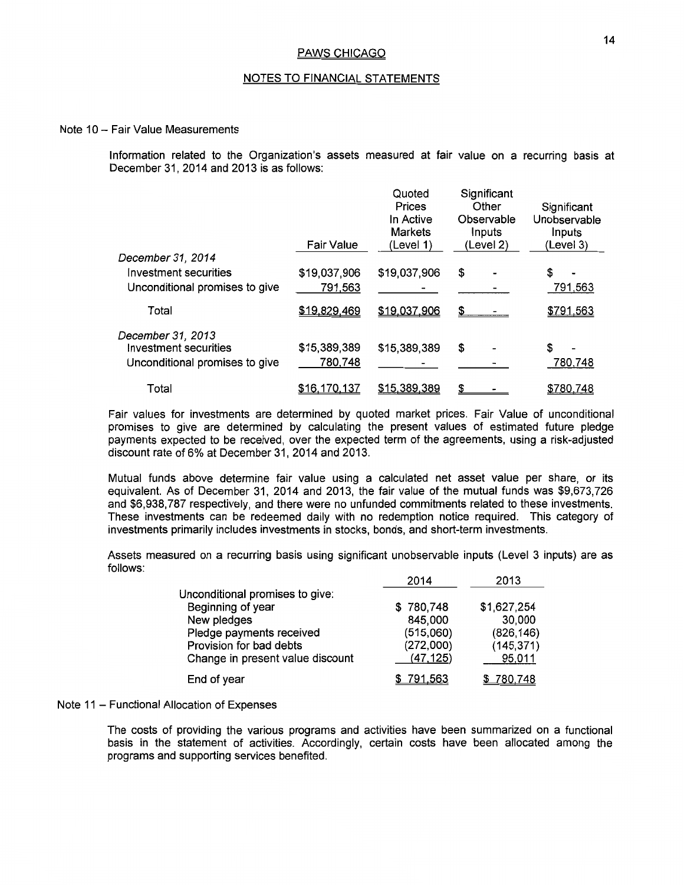### **NOTES TO FINANCIAL STATEMENTS**

## Note 10 - Fair Value Measurements

Information related to the Organization's assets measured at fair value on a recurring basis at December 31, 2014 and 2013 is as follows:

|                                | <b>Fair Value</b> | Quoted<br>Prices<br>In Active<br><b>Markets</b><br>(Level 1) | Significant<br>Other<br>Observable<br>Inputs<br>(Level 2) | Significant<br>Unobservable<br>Inputs<br>(Level 3) |
|--------------------------------|-------------------|--------------------------------------------------------------|-----------------------------------------------------------|----------------------------------------------------|
| December 31, 2014              |                   |                                                              |                                                           |                                                    |
| Investment securities          | \$19,037,906      | \$19,037,906                                                 | \$                                                        | \$                                                 |
| Unconditional promises to give | 791,563           |                                                              |                                                           | 791,563                                            |
| Total                          | \$19,829,469      | \$19,037,906                                                 | S                                                         | \$791,563                                          |
| December 31, 2013              |                   |                                                              |                                                           |                                                    |
| Investment securities          | \$15,389,389      | \$15,389,389                                                 | \$                                                        | \$                                                 |
| Unconditional promises to give | 780,748           |                                                              |                                                           | 780,748                                            |
| Total                          | \$16,170,137      | \$15,389,389                                                 | S                                                         | \$780,748                                          |

Fair values for investments are determined by quoted market prices. Fair Value of unconditional promises to give are determined by calculating the present values of estimated future pledge payments expected to be received, over the expected term of the agreements, using a risk-adjusted discount rate of 6% at December 31, 2014 and 2013.

Mutual funds above determine fair value using a calculated net asset value per share, or its equivalent. As of December 31, 2014 and 2013, the fair value of the mutual funds was \$9,673,726 and \$6,938,787 respectively, and there were no unfunded commitments related to these investments. These investments can be redeemed daily with no redemption notice required. This category of investments primarily includes investments in stocks, bonds, and short-term investments.

Assets measured on a recurring basis using significant unobservable inputs (Level 3 inputs) are as follows:  $\sim$   $\sim$   $\sim$ 

|                                  | 2014      | 2013        |
|----------------------------------|-----------|-------------|
| Unconditional promises to give:  |           |             |
| Beginning of year                | \$780,748 | \$1,627,254 |
| New pledges                      | 845,000   | 30,000      |
| Pledge payments received         | (515,060) | (826, 146)  |
| Provision for bad debts          | (272,000) | (145, 371)  |
| Change in present value discount | (47, 125) | 95,011      |
| End of year                      | \$791,563 | \$780,748   |

#### Note 11 - Functional Allocation of Expenses

The costs of providing the various programs and activities have been summarized on a functional basis in the statement of activities. Accordingly, certain costs have been allocated among the programs and supporting services benefited.